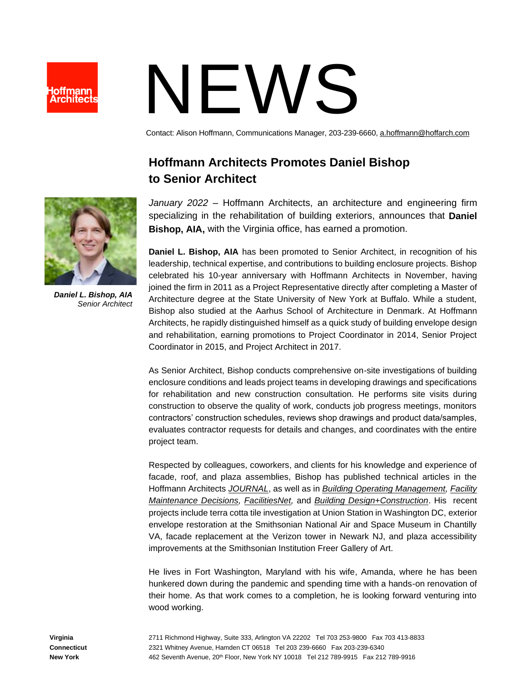

## NEWS

Contact: Alison Hoffmann, Communications Manager, 203-239-6660[, a.hoffmann@hoffarch.com](mailto:a.hoffmann@hoffarch.com)

## **Hoffmann Architects Promotes Daniel Bishop to Senior Architect**

*January 2022* – Hoffmann Architects, an architecture and engineering firm specializing in the rehabilitation of building exteriors, announces that **Daniel Bishop, AIA,** with the Virginia office, has earned a promotion.

**Daniel L. Bishop, AIA** has been promoted to Senior Architect, in recognition of his leadership, technical expertise, and contributions to building enclosure projects. Bishop celebrated his 10-year anniversary with Hoffmann Architects in November, having joined the firm in 2011 as a Project Representative directly after completing a Master of Architecture degree at the State University of New York at Buffalo. While a student, Bishop also studied at the Aarhus School of Architecture in Denmark. At Hoffmann Architects, he rapidly distinguished himself as a quick study of building envelope design and rehabilitation, earning promotions to Project Coordinator in 2014, Senior Project Coordinator in 2015, and Project Architect in 2017.

As Senior Architect, Bishop conducts comprehensive on-site investigations of building enclosure conditions and leads project teams in developing drawings and specifications for rehabilitation and new construction consultation. He performs site visits during construction to observe the quality of work, conducts job progress meetings, monitors contractors' construction schedules, reviews shop drawings and product data/samples, evaluates contractor requests for details and changes, and coordinates with the entire project team.

Respected by colleagues, coworkers, and clients for his knowledge and experience of facade, roof, and plaza assemblies, Bishop has published technical articles in the Hoffmann Architects *[JOURNAL](https://www.hoffarch.com/archive/)*, as well as in *[Building Operating Management,](https://www.hoffarch.com/assets/Recovering-Roofing-BOM-print-July-2021-web.pdf) [Facility](https://www.hoffarch.com/assets/What-to-Do-with-a-Failing-Roof-LR.pdf)  [Maintenance Decisions,](https://www.hoffarch.com/assets/What-to-Do-with-a-Failing-Roof-LR.pdf) [FacilitiesNet,](https://www.facilitiesnet.com/roofing/article/When-Roofing-Replacement-Is-the-Best-Option--19253)* and *[Building Design+Construction](https://www.hoffarch.com/assets/Glazed-Curtain-Walls-BD+C-March-2020.pdf)*. His recent projects include terra cotta tile investigation at Union Station in Washington DC, exterior envelope restoration at the Smithsonian National Air and Space Museum in Chantilly VA, facade replacement at the Verizon tower in Newark NJ, and plaza accessibility improvements at the Smithsonian Institution Freer Gallery of Art.

He lives in Fort Washington, Maryland with his wife, Amanda, where he has been hunkered down during the pandemic and spending time with a hands-on renovation of their home. As that work comes to a completion, he is looking forward venturing into wood working.



*Daniel L. Bishop, AIA Senior Architect*